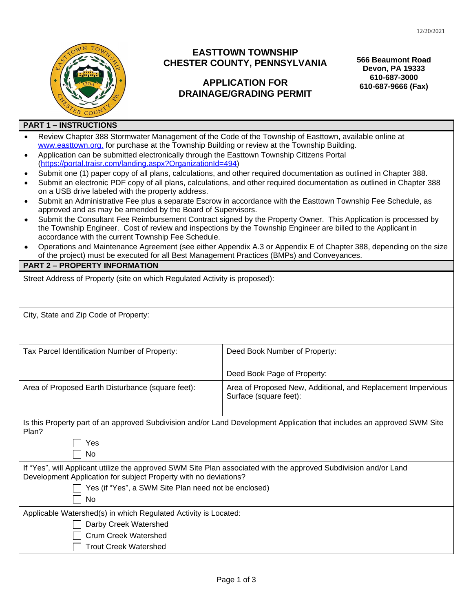

## **EASTTOWN TOWNSHIP CHESTER COUNTY, PENNSYLVANIA**

## **APPLICATION FOR DRAINAGE/GRADING PERMIT**

**566 Beaumont Road Devon, PA 19333 610-687-3000 610-687-9666 (Fax)**

## **PART 1 – INSTRUCTIONS**

| Review Chapter 388 Stormwater Management of the Code of the Township of Easttown, available online at |
|-------------------------------------------------------------------------------------------------------|
| www.easttown.org, for purchase at the Township Building or review at the Township Building.           |
|                                                                                                       |

- Application can be submitted electronically through the Easttown Township Citizens Portal ([https://portal.traisr.com/landing.aspx?OrganizationId=494\)](https://portal.traisr.com/landing.aspx?OrganizationId=494)
- Submit one (1) paper copy of all plans, calculations, and other required documentation as outlined in Chapter 388.
- Submit an electronic PDF copy of all plans, calculations, and other required documentation as outlined in Chapter 388 on a USB drive labeled with the property address.
- Submit an Administrative Fee plus a separate Escrow in accordance with the Easttown Township Fee Schedule, as approved and as may be amended by the Board of Supervisors.
- Submit the Consultant Fee Reimbursement Contract signed by the Property Owner. This Application is processed by the Township Engineer. Cost of review and inspections by the Township Engineer are billed to the Applicant in accordance with the current Township Fee Schedule.
- Operations and Maintenance Agreement (see either Appendix A.3 or Appendix E of Chapter 388, depending on the size of the project) must be executed for all Best Management Practices (BMPs) and Conveyances.

## **PART 2 – PROPERTY INFORMATION**

| <b>PART 2 – PROPERTY INFORMATION</b>                                                                                                                                                                                                                      |  |  |  |  |  |
|-----------------------------------------------------------------------------------------------------------------------------------------------------------------------------------------------------------------------------------------------------------|--|--|--|--|--|
| Street Address of Property (site on which Regulated Activity is proposed):                                                                                                                                                                                |  |  |  |  |  |
|                                                                                                                                                                                                                                                           |  |  |  |  |  |
| Deed Book Number of Property:                                                                                                                                                                                                                             |  |  |  |  |  |
| Deed Book Page of Property:                                                                                                                                                                                                                               |  |  |  |  |  |
| Area of Proposed New, Additional, and Replacement Impervious<br>Surface (square feet):                                                                                                                                                                    |  |  |  |  |  |
| Is this Property part of an approved Subdivision and/or Land Development Application that includes an approved SWM Site                                                                                                                                   |  |  |  |  |  |
| If "Yes", will Applicant utilize the approved SWM Site Plan associated with the approved Subdivision and/or Land<br>Development Application for subject Property with no deviations?<br>Yes (if "Yes", a SWM Site Plan need not be enclosed)<br><b>No</b> |  |  |  |  |  |
| Applicable Watershed(s) in which Regulated Activity is Located:                                                                                                                                                                                           |  |  |  |  |  |
|                                                                                                                                                                                                                                                           |  |  |  |  |  |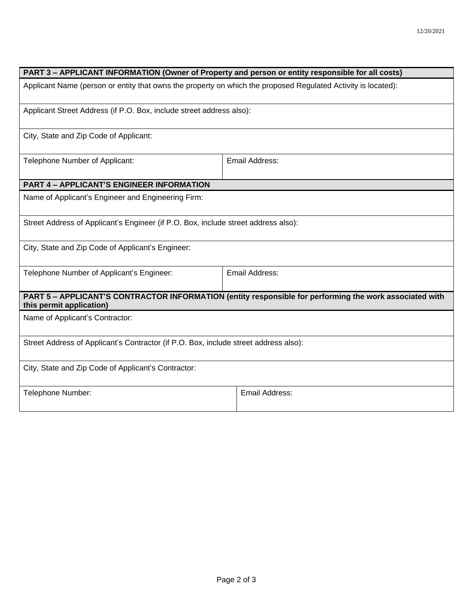| PART 3 - APPLICANT INFORMATION (Owner of Property and person or entity responsible for all costs)                                   |                |  |  |  |  |
|-------------------------------------------------------------------------------------------------------------------------------------|----------------|--|--|--|--|
| Applicant Name (person or entity that owns the property on which the proposed Regulated Activity is located):                       |                |  |  |  |  |
| Applicant Street Address (if P.O. Box, include street address also):                                                                |                |  |  |  |  |
| City, State and Zip Code of Applicant:                                                                                              |                |  |  |  |  |
| Telephone Number of Applicant:                                                                                                      | Email Address: |  |  |  |  |
| <b>PART 4 - APPLICANT'S ENGINEER INFORMATION</b>                                                                                    |                |  |  |  |  |
| Name of Applicant's Engineer and Engineering Firm:                                                                                  |                |  |  |  |  |
| Street Address of Applicant's Engineer (if P.O. Box, include street address also):                                                  |                |  |  |  |  |
| City, State and Zip Code of Applicant's Engineer:                                                                                   |                |  |  |  |  |
| Telephone Number of Applicant's Engineer:                                                                                           | Email Address: |  |  |  |  |
| PART 5 - APPLICANT'S CONTRACTOR INFORMATION (entity responsible for performing the work associated with<br>this permit application) |                |  |  |  |  |
| Name of Applicant's Contractor:                                                                                                     |                |  |  |  |  |
| Street Address of Applicant's Contractor (if P.O. Box, include street address also):                                                |                |  |  |  |  |
| City, State and Zip Code of Applicant's Contractor:                                                                                 |                |  |  |  |  |
| Telephone Number:                                                                                                                   | Email Address: |  |  |  |  |